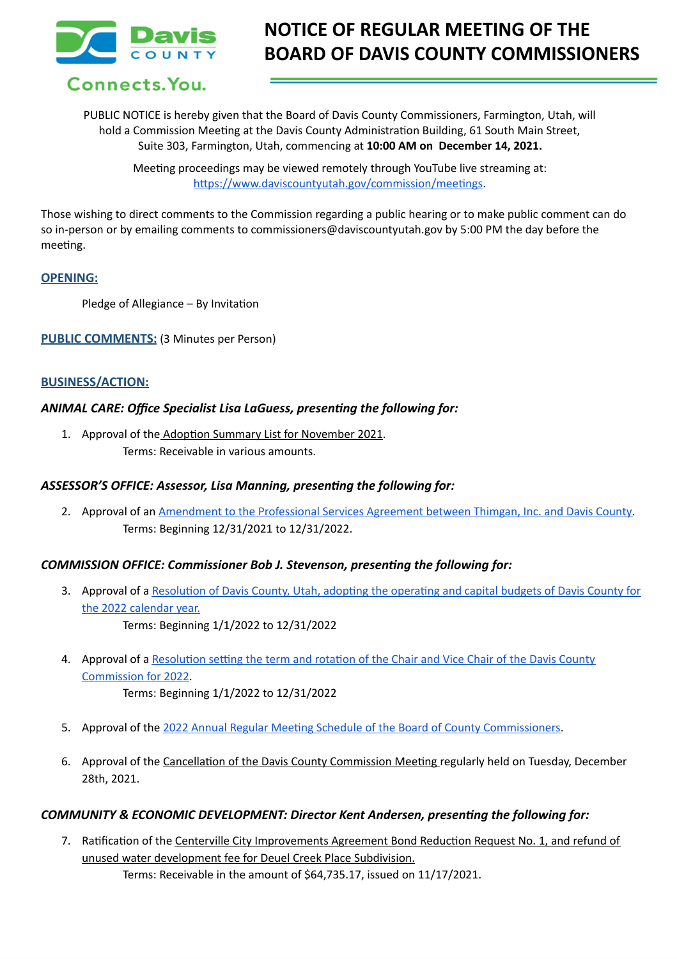

# **NOTICE OF REGULAR MEETING OF THE BOARD OF DAVIS COUNTY COMMISSIONERS**

PUBLIC NOTICE is hereby given that the Board of Davis County Commissioners, Farmington, Utah, will hold a Commission Meeting at the Davis County Administration Building, 61 South Main Street, Suite 303, Farmington, Utah, commencing at **10:00 AM on December 14, 2021.**

Meeting proceedings may be viewed remotely through YouTube live streaming at: <https://www.daviscountyutah.gov/commission/meetings>.

Those wishing to direct comments to the Commission regarding a public hearing or to make public comment can do so in-person or by emailing comments to commissioners@daviscountyutah.gov by 5:00 PM the day before the meeting.

## **OPENING:**

Pledge of Allegiance – By Invitation

**PUBLIC COMMENTS:** (3 Minutes per Person)

#### **BUSINESS/ACTION:**

## *ANIMAL CARE: Office Specialist Lisa LaGuess, presenting the following for:*

1. Approval of the Adoption Summary List for November 2021. Terms: Receivable in various amounts.

# *ASSESSOR'S OFFICE: Assessor, Lisa Manning, presenting the following for:*

2. Approval of an [Amendment](https://drive.google.com/file/d/1LkVya_8Hx7QMi5y0HikxgjD0GceSzT6g/view?usp=sharingeement%20between%20Thimgan,%20Inc.%20and%20Davis%20County) to the Professional Services Agreement between Thimgan, Inc. and Davis County. Terms: Beginning 12/31/2021 to 12/31/2022.

#### *COMMISSION OFFICE: Commissioner Bob J. Stevenson, presenting the following for:*

- 3. Approval of a [Resolution](https://drive.google.com/file/d/1Xyugh2gQ7e5k0qoosxLTdFdCg4H85d-k/view?usp=sharing) of Davis County, Utah, adopting the operating and capital budgets of Davis County for the 2022 [calendar](https://drive.google.com/file/d/1Xyugh2gQ7e5k0qoosxLTdFdCg4H85d-k/view?usp=sharing) year. Terms: Beginning 1/1/2022 to 12/31/2022
- 4. Approval of a [Resolution](https://drive.google.com/file/d/1fZsgKHwmq47hb8PwMuD5UFvr0kPgDW9N/view?usp=sharing) setting the term and rotation of the Chair and Vice Chair of the Davis County [Commission](https://drive.google.com/file/d/1fZsgKHwmq47hb8PwMuD5UFvr0kPgDW9N/view?usp=sharing) for 2022. Terms: Beginning 1/1/2022 to 12/31/2022
	-
- 5. Approval of the 2022 Annual Regular Meeting Schedule of the Board of County [Commissioners.](https://drive.google.com/file/d/1WO6kN3nlw2FwOZLn9EIQeWaTtSZRF9y7/view?usp=sharing)
- 6. Approval of the Cancellation of the Davis County Commission Meeting regularly held on Tuesday, December 28th, 2021.

#### *COMMUNITY & ECONOMIC DEVELOPMENT: Director Kent Andersen, presenting the following for:*

7. Ratification of the Centerville City Improvements Agreement Bond Reduction Request No. 1, and refund of unused water development fee for Deuel Creek Place Subdivision. Terms: Receivable in the amount of \$64,735.17, issued on 11/17/2021.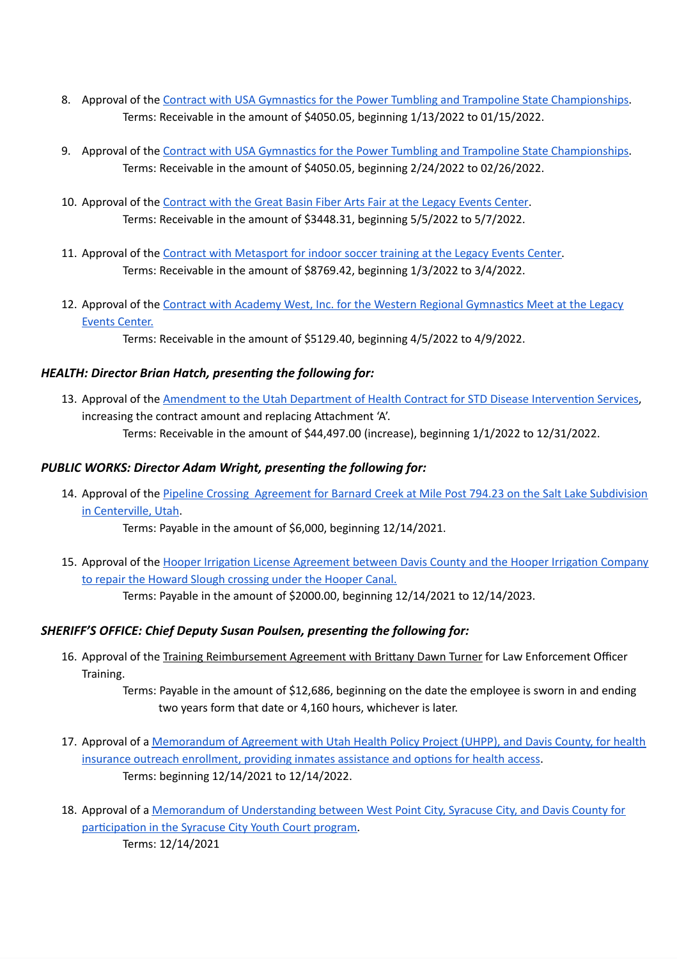- 8. Approval of the Contract with USA Gymnastics for the Power Tumbling and Trampoline State [Championships](https://drive.google.com/file/d/1mLnkovLFJkPlYkznjHwipDRQwhrq4Tvr/view?usp=sharing). Terms: Receivable in the amount of \$4050.05, beginning 1/13/2022 to 01/15/2022.
- 9. Approval of the Contract with USA Gymnastics for the Power Tumbling and Trampoline State [Championships](https://drive.google.com/file/d/1ROJ9AggwFCcqcXVuD5AnCvG2-ZBJTXHK/view?usp=sharing). Terms: Receivable in the amount of \$4050.05, beginning 2/24/2022 to 02/26/2022.
- 10. Approval of the [Contract](https://drive.google.com/file/d/1eRlpZO-6wl9sl1XII6c5oO0eO1dsivER/view?usp=sharing) with the Great Basin Fiber Arts Fair at the Legacy Events Center. Terms: Receivable in the amount of \$3448.31, beginning 5/5/2022 to 5/7/2022.
- 11. Approval of the Contract with [Metasport](https://drive.google.com/file/d/1A57T5GuMIBhwPFep9WjhQxBWYTuJtnvZ/view?usp=sharing) for indoor soccer training at the Legacy Events Center. Terms: Receivable in the amount of \$8769.42, beginning 1/3/2022 to 3/4/2022.
- 12. Approval of the Contract with Academy West, Inc. for the Western Regional [Gymnastics](https://drive.google.com/file/d/1i96xMizwWPfFBYO2eMD_Ah8haJRPxlM5/view?usp=sharing) Meet at the Legacy Events [Center.](https://drive.google.com/file/d/1i96xMizwWPfFBYO2eMD_Ah8haJRPxlM5/view?usp=sharing)
	- Terms: Receivable in the amount of \$5129.40, beginning 4/5/2022 to 4/9/2022.

# *HEALTH: Director Brian Hatch, presenting the following for:*

13. Approval of the [Amendment](https://drive.google.com/file/d/1t42Tq7BvdjkTAFd2mchycGxieESsMy2m/view?usp=sharing) to the Utah Department of Health Contract for STD Disease Intervention Services, increasing the contract amount and replacing Attachment 'A'.

Terms: Receivable in the amount of \$44,497.00 (increase), beginning 1/1/2022 to 12/31/2022.

# *PUBLIC WORKS: Director Adam Wright, presenting the following for:*

14. Approval of the Pipeline Crossing Agreement for Barnard Creek at Mile Post 794.23 on the Salt Lake [Subdivision](https://drive.google.com/file/d/1MdSlWjuOxUstr61kmiqHhbAWZVxQKjz_/view?usp=sharing) in [Centerville,](https://drive.google.com/file/d/1MdSlWjuOxUstr61kmiqHhbAWZVxQKjz_/view?usp=sharing) Utah.

Terms: Payable in the amount of \$6,000, beginning 12/14/2021.

15. Approval of the Hooper Irrigation License [Agreement](https://docs.google.com/document/d/1Q_ow13gFj7zie1iDbX3xWTxk4Lq9cXeB/edit?usp=sharing&ouid=109614430660042516529&rtpof=true&sd=true) between Davis County and the Hooper Irrigation Company to repair the Howard Slough [crossing](https://docs.google.com/document/d/1Q_ow13gFj7zie1iDbX3xWTxk4Lq9cXeB/edit?usp=sharing&ouid=109614430660042516529&rtpof=true&sd=true) under the Hooper Canal. Terms: Payable in the amount of \$2000.00, beginning 12/14/2021 to 12/14/2023.

# *SHERIFF'S OFFICE: Chief Deputy Susan Poulsen, presenting the following for:*

16. Approval of the Training Reimbursement Agreement with Brittany Dawn Turner for Law Enforcement Officer Training.

> Terms: Payable in the amount of \$12,686, beginning on the date the employee is sworn in and ending two years form that date or 4,160 hours, whichever is later.

- 17. Approval of a [Memorandum](https://drive.google.com/file/d/1XOEFW60d97FPaH6v7qnjSvCP09ET8QEy/view?usp=sharing) of Agreement with Utah Health Policy Project (UHPP), and Davis County, for health insurance outreach [enrollment,](https://drive.google.com/file/d/1XOEFW60d97FPaH6v7qnjSvCP09ET8QEy/view?usp=sharing) providing inmates assistance and options for health access. Terms: beginning 12/14/2021 to 12/14/2022.
- 18. Approval of a Memorandum of [Understanding](https://drive.google.com/file/d/1V1EFGOnMYRC143X7iU_4UUdgyyuBK9Jl/view?usp=sharing) between West Point City, Syracuse City, and Davis County for [participation](https://drive.google.com/file/d/1V1EFGOnMYRC143X7iU_4UUdgyyuBK9Jl/view?usp=sharing) in the Syracuse City Youth Court program. Terms: 12/14/2021